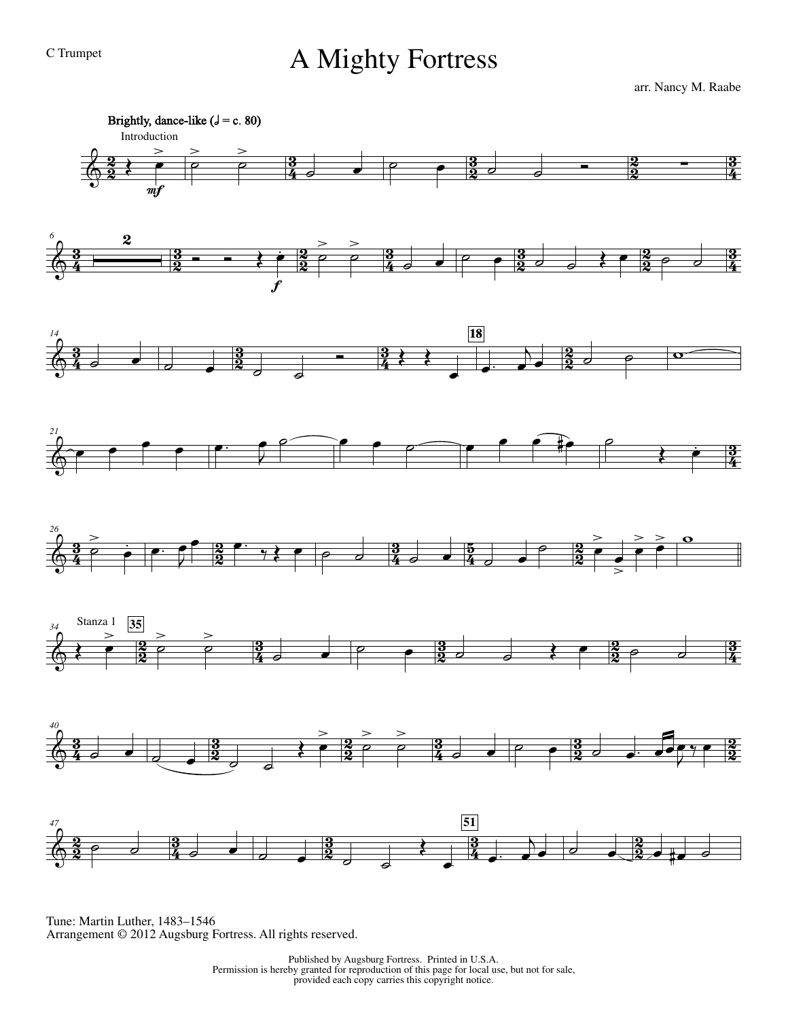## C Trumpet A Mighty Fortress

arr. Nancy M. Raabe



Tune: Martin Luther, 1483–1546 Arrangement © 2012 Augsburg Fortress. All rights reserved.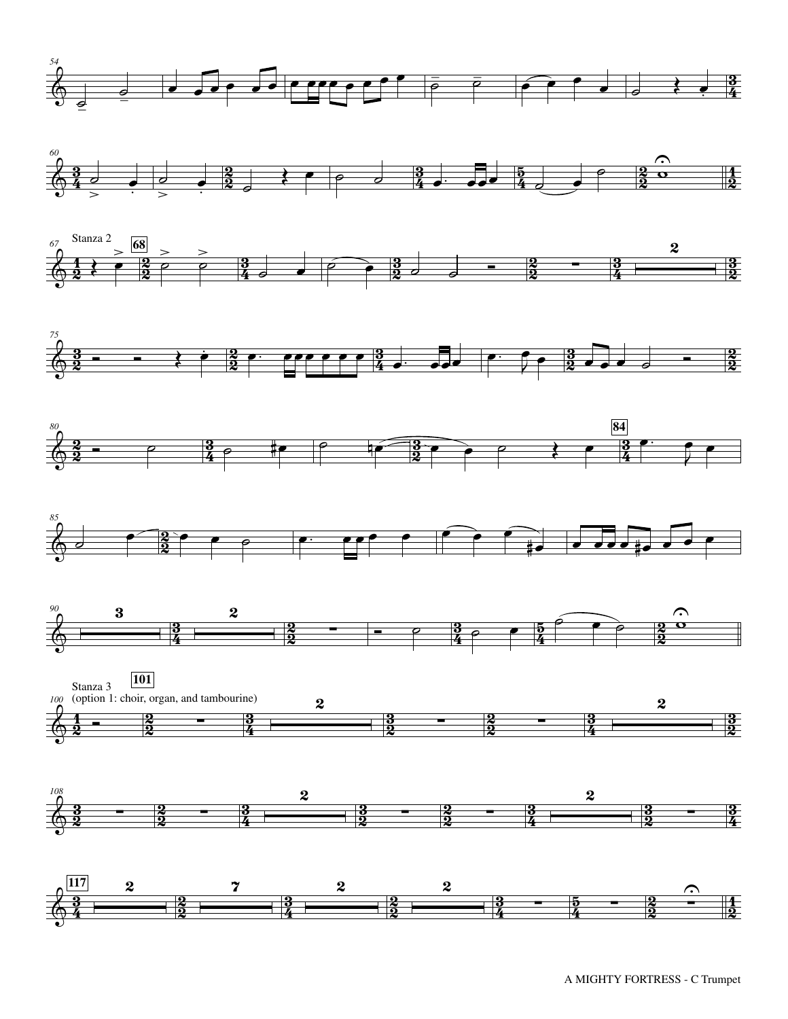